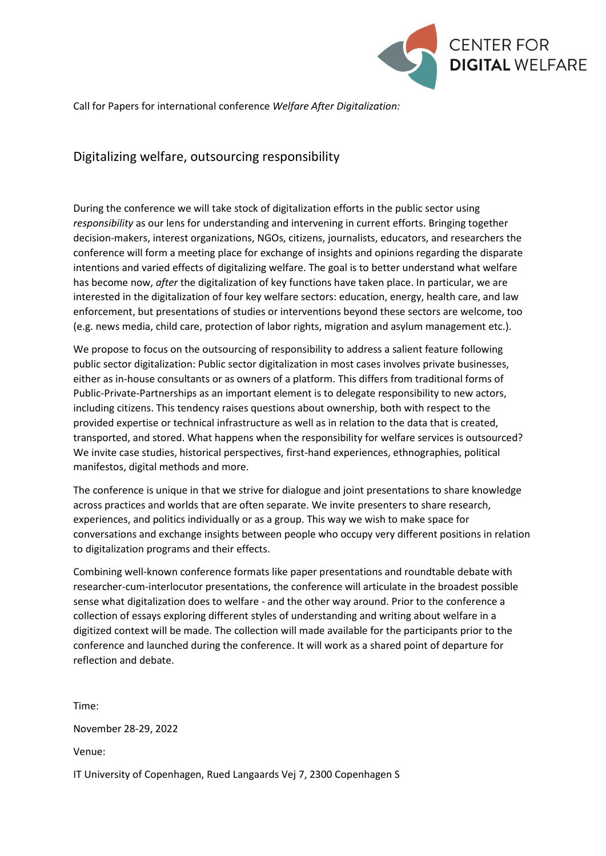

Call for Papers for international conference *Welfare After Digitalization:*

# Digitalizing welfare, outsourcing responsibility

During the conference we will take stock of digitalization efforts in the public sector using *responsibility* as our lens for understanding and intervening in current efforts. Bringing together decision-makers, interest organizations, NGOs, citizens, journalists, educators, and researchers the conference will form a meeting place for exchange of insights and opinions regarding the disparate intentions and varied effects of digitalizing welfare. The goal is to better understand what welfare has become now, *after* the digitalization of key functions have taken place. In particular, we are interested in the digitalization of four key welfare sectors: education, energy, health care, and law enforcement, but presentations of studies or interventions beyond these sectors are welcome, too (e.g. news media, child care, protection of labor rights, migration and asylum management etc.).

We propose to focus on the outsourcing of responsibility to address a salient feature following public sector digitalization: Public sector digitalization in most cases involves private businesses, either as in-house consultants or as owners of a platform. This differs from traditional forms of Public-Private-Partnerships as an important element is to delegate responsibility to new actors, including citizens. This tendency raises questions about ownership, both with respect to the provided expertise or technical infrastructure as well as in relation to the data that is created, transported, and stored. What happens when the responsibility for welfare services is outsourced? We invite case studies, historical perspectives, first-hand experiences, ethnographies, political manifestos, digital methods and more.

The conference is unique in that we strive for dialogue and joint presentations to share knowledge across practices and worlds that are often separate. We invite presenters to share research, experiences, and politics individually or as a group. This way we wish to make space for conversations and exchange insights between people who occupy very different positions in relation to digitalization programs and their effects.

Combining well-known conference formats like paper presentations and roundtable debate with researcher-cum-interlocutor presentations, the conference will articulate in the broadest possible sense what digitalization does to welfare - and the other way around. Prior to the conference a collection of essays exploring different styles of understanding and writing about welfare in a digitized context will be made. The collection will made available for the participants prior to the conference and launched during the conference. It will work as a shared point of departure for reflection and debate.

Time:

November 28-29, 2022

Venue:

IT University of Copenhagen, Rued Langaards Vej 7, 2300 Copenhagen S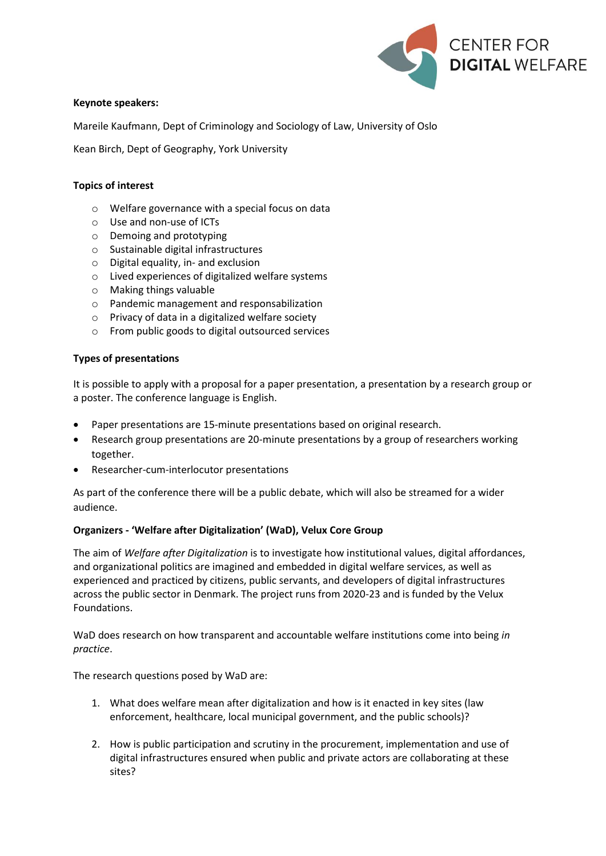

## **Keynote speakers:**

Mareile Kaufmann, Dept of Criminology and Sociology of Law, University of Oslo

Kean Birch, Dept of Geography, York University

## **Topics of interest**

- o Welfare governance with a special focus on data
- o Use and non-use of ICTs
- o Demoing and prototyping
- o Sustainable digital infrastructures
- o Digital equality, in- and exclusion
- o Lived experiences of digitalized welfare systems
- o Making things valuable
- o Pandemic management and responsabilization
- o Privacy of data in a digitalized welfare society
- o From public goods to digital outsourced services

### **Types of presentations**

It is possible to apply with a proposal for a paper presentation, a presentation by a research group or a poster. The conference language is English.

- Paper presentations are 15-minute presentations based on original research.
- Research group presentations are 20-minute presentations by a group of researchers working together.
- Researcher-cum-interlocutor presentations

As part of the conference there will be a public debate, which will also be streamed for a wider audience.

#### **Organizers - 'Welfare after Digitalization' (WaD), Velux Core Group**

The aim of *Welfare after Digitalization* is to investigate how institutional values, digital affordances, and organizational politics are imagined and embedded in digital welfare services, as well as experienced and practiced by citizens, public servants, and developers of digital infrastructures across the public sector in Denmark. The project runs from 2020-23 and is funded by the Velux Foundations.

WaD does research on how transparent and accountable welfare institutions come into being *in practice*.

The research questions posed by WaD are:

- 1. What does welfare mean after digitalization and how is it enacted in key sites (law enforcement, healthcare, local municipal government, and the public schools)?
- 2. How is public participation and scrutiny in the procurement, implementation and use of digital infrastructures ensured when public and private actors are collaborating at these sites?